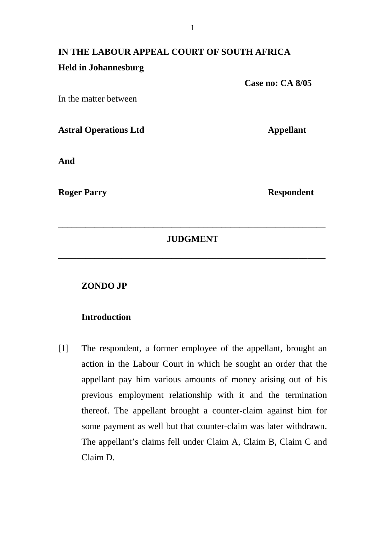# **IN THE LABOUR APPEAL COURT OF SOUTH AFRICA Held in Johannesburg**

In the matter between

**Astral Operations Ltd Appellant** 

**And** 

**Roger Parry Respondent 1986** 

 **Case no: CA 8/05** 

# **JUDGMENT**

\_\_\_\_\_\_\_\_\_\_\_\_\_\_\_\_\_\_\_\_\_\_\_\_\_\_\_\_\_\_\_\_\_\_\_\_\_\_\_\_\_\_\_\_\_\_\_\_\_\_\_\_\_\_\_\_\_\_\_

\_\_\_\_\_\_\_\_\_\_\_\_\_\_\_\_\_\_\_\_\_\_\_\_\_\_\_\_\_\_\_\_\_\_\_\_\_\_\_\_\_\_\_\_\_\_\_\_\_\_\_\_\_\_\_\_\_\_\_

### **ZONDO JP**

# **Introduction**

[1] The respondent, a former employee of the appellant, brought an action in the Labour Court in which he sought an order that the appellant pay him various amounts of money arising out of his previous employment relationship with it and the termination thereof. The appellant brought a counter-claim against him for some payment as well but that counter-claim was later withdrawn. The appellant's claims fell under Claim A, Claim B, Claim C and Claim D.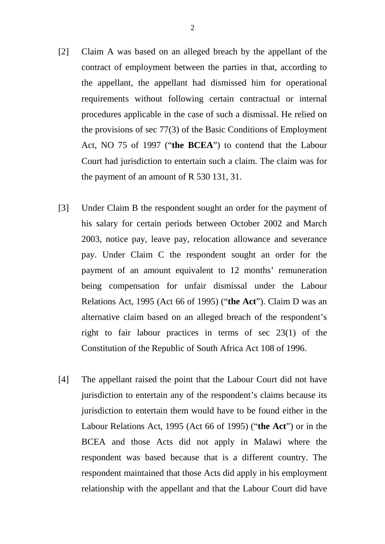[2] Claim A was based on an alleged breach by the appellant of the contract of employment between the parties in that, according to the appellant, the appellant had dismissed him for operational requirements without following certain contractual or internal procedures applicable in the case of such a dismissal. He relied on the provisions of sec 77(3) of the Basic Conditions of Employment Act, NO 75 of 1997 ("**the BCEA**") to contend that the Labour Court had jurisdiction to entertain such a claim. The claim was for

the payment of an amount of R 530 131, 31.

- [3] Under Claim B the respondent sought an order for the payment of his salary for certain periods between October 2002 and March 2003, notice pay, leave pay, relocation allowance and severance pay. Under Claim C the respondent sought an order for the payment of an amount equivalent to 12 months' remuneration being compensation for unfair dismissal under the Labour Relations Act, 1995 (Act 66 of 1995) ("**the Act**"). Claim D was an alternative claim based on an alleged breach of the respondent's right to fair labour practices in terms of sec 23(1) of the Constitution of the Republic of South Africa Act 108 of 1996.
- [4] The appellant raised the point that the Labour Court did not have jurisdiction to entertain any of the respondent's claims because its jurisdiction to entertain them would have to be found either in the Labour Relations Act, 1995 (Act 66 of 1995) ("**the Act**") or in the BCEA and those Acts did not apply in Malawi where the respondent was based because that is a different country. The respondent maintained that those Acts did apply in his employment relationship with the appellant and that the Labour Court did have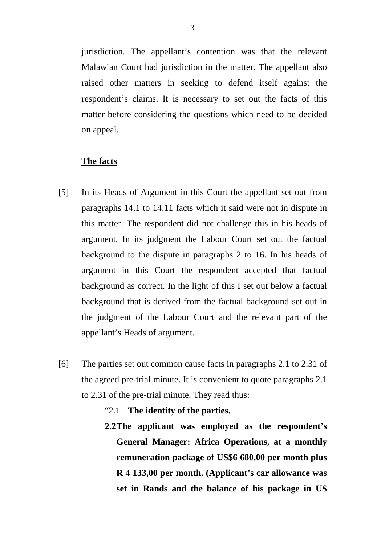jurisdiction. The appellant's contention was that the relevant Malawian Court had jurisdiction in the matter. The appellant also raised other matters in seeking to defend itself against the respondent's claims. It is necessary to set out the facts of this matter before considering the questions which need to be decided on appeal.

#### **The facts**

- [5] In its Heads of Argument in this Court the appellant set out from paragraphs 14.1 to 14.11 facts which it said were not in dispute in this matter. The respondent did not challenge this in his heads of argument. In its judgment the Labour Court set out the factual background to the dispute in paragraphs 2 to 16. In his heads of argument in this Court the respondent accepted that factual background as correct. In the light of this I set out below a factual background that is derived from the factual background set out in the judgment of the Labour Court and the relevant part of the appellant's Heads of argument.
- [6] The parties set out common cause facts in paragraphs 2.1 to 2.31 of the agreed pre-trial minute. It is convenient to quote paragraphs 2.1 to 2.31 of the pre-trial minute. They read thus:
	- "2.1 **The identity of the parties.**
	- **2.2The applicant was employed as the respondent's General Manager: Africa Operations, at a monthly remuneration package of US\$6 680,00 per month plus R 4 133,00 per month. (Applicant's car allowance was set in Rands and the balance of his package in US**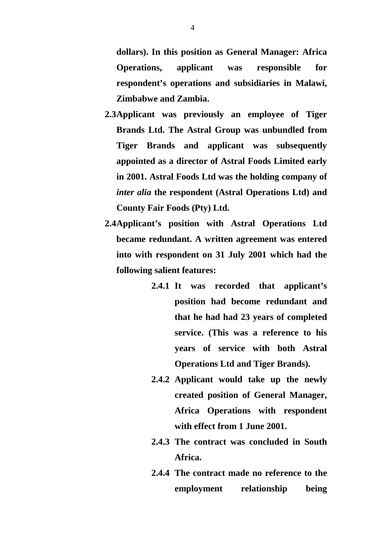**dollars). In this position as General Manager: Africa Operations, applicant was responsible for respondent's operations and subsidiaries in Malawi, Zimbabwe and Zambia.** 

- **2.3Applicant was previously an employee of Tiger Brands Ltd. The Astral Group was unbundled from Tiger Brands and applicant was subsequently appointed as a director of Astral Foods Limited early in 2001. Astral Foods Ltd was the holding company of**  *inter alia* **the respondent (Astral Operations Ltd) and County Fair Foods (Pty) Ltd.**
- **2.4Applicant's position with Astral Operations Ltd became redundant. A written agreement was entered into with respondent on 31 July 2001 which had the following salient features:** 
	- **2.4.1 It was recorded that applicant's position had become redundant and that he had had 23 years of completed service. (This was a reference to his years of service with both Astral Operations Ltd and Tiger Brands).**
	- **2.4.2 Applicant would take up the newly created position of General Manager, Africa Operations with respondent with effect from 1 June 2001.**
	- **2.4.3 The contract was concluded in South Africa.**
	- **2.4.4 The contract made no reference to the employment relationship being**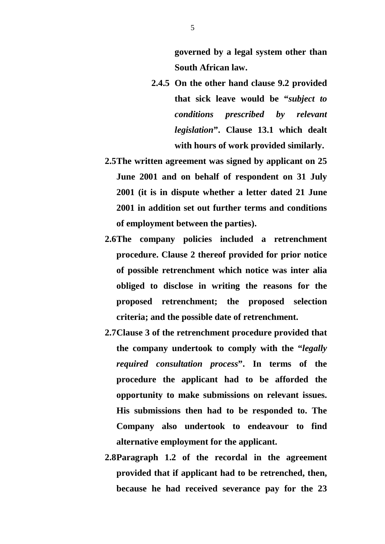**governed by a legal system other than South African law.** 

- **2.4.5 On the other hand clause 9.2 provided that sick leave would be "***subject to conditions prescribed by relevant legislation***". Clause 13.1 which dealt with hours of work provided similarly.**
- **2.5The written agreement was signed by applicant on 25 June 2001 and on behalf of respondent on 31 July 2001 (it is in dispute whether a letter dated 21 June 2001 in addition set out further terms and conditions of employment between the parties).**
- **2.6The company policies included a retrenchment procedure. Clause 2 thereof provided for prior notice of possible retrenchment which notice was inter alia obliged to disclose in writing the reasons for the proposed retrenchment; the proposed selection criteria; and the possible date of retrenchment.**
- **2.7Clause 3 of the retrenchment procedure provided that the company undertook to comply with the "***legally required consultation process***". In terms of the procedure the applicant had to be afforded the opportunity to make submissions on relevant issues. His submissions then had to be responded to. The Company also undertook to endeavour to find alternative employment for the applicant.**
- **2.8Paragraph 1.2 of the recordal in the agreement provided that if applicant had to be retrenched, then, because he had received severance pay for the 23**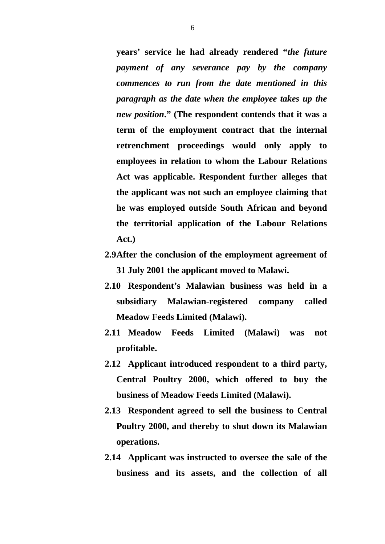**years' service he had already rendered "***the future payment of any severance pay by the company commences to run from the date mentioned in this paragraph as the date when the employee takes up the new position***." (The respondent contends that it was a term of the employment contract that the internal retrenchment proceedings would only apply to employees in relation to whom the Labour Relations Act was applicable. Respondent further alleges that the applicant was not such an employee claiming that he was employed outside South African and beyond the territorial application of the Labour Relations Act.)** 

- **2.9After the conclusion of the employment agreement of 31 July 2001 the applicant moved to Malawi.**
- **2.10 Respondent's Malawian business was held in a subsidiary Malawian-registered company called Meadow Feeds Limited (Malawi).**
- **2.11 Meadow Feeds Limited (Malawi) was not profitable.**
- **2.12 Applicant introduced respondent to a third party, Central Poultry 2000, which offered to buy the business of Meadow Feeds Limited (Malawi).**
- **2.13 Respondent agreed to sell the business to Central Poultry 2000, and thereby to shut down its Malawian operations.**
- **2.14 Applicant was instructed to oversee the sale of the business and its assets, and the collection of all**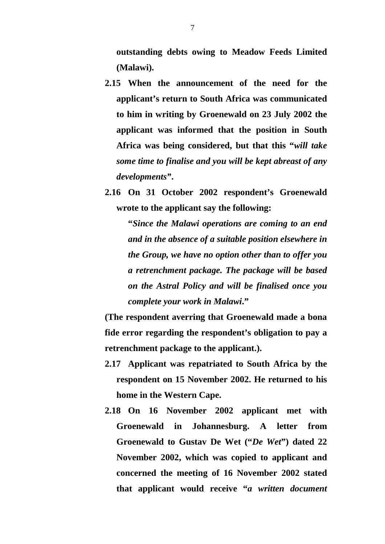**outstanding debts owing to Meadow Feeds Limited (Malawi).** 

- **2.15 When the announcement of the need for the applicant's return to South Africa was communicated to him in writing by Groenewald on 23 July 2002 the applicant was informed that the position in South Africa was being considered, but that this "***will take some time to finalise and you will be kept abreast of any developments"***.**
- **2.16 On 31 October 2002 respondent's Groenewald wrote to the applicant say the following:**

**"***Since the Malawi operations are coming to an end and in the absence of a suitable position elsewhere in the Group, we have no option other than to offer you a retrenchment package. The package will be based on the Astral Policy and will be finalised once you complete your work in Malawi***."** 

**(The respondent averring that Groenewald made a bona fide error regarding the respondent's obligation to pay a retrenchment package to the applicant.).** 

- **2.17 Applicant was repatriated to South Africa by the respondent on 15 November 2002. He returned to his home in the Western Cape.**
- **2.18 On 16 November 2002 applicant met with Groenewald in Johannesburg. A letter from Groenewald to Gustav De Wet ("***De Wet***") dated 22 November 2002, which was copied to applicant and concerned the meeting of 16 November 2002 stated that applicant would receive "***a written document*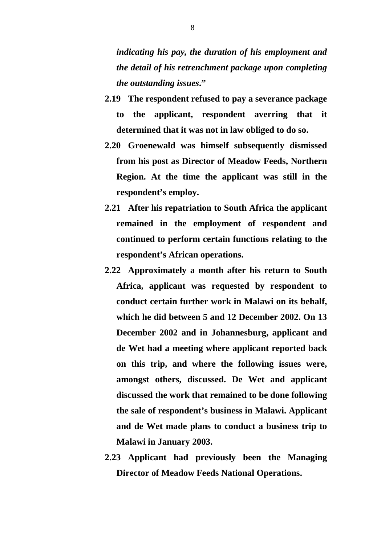*indicating his pay, the duration of his employment and the detail of his retrenchment package upon completing the outstanding issues***."** 

- **2.19 The respondent refused to pay a severance package to the applicant, respondent averring that it determined that it was not in law obliged to do so.**
- **2.20 Groenewald was himself subsequently dismissed from his post as Director of Meadow Feeds, Northern Region. At the time the applicant was still in the respondent's employ.**
- **2.21 After his repatriation to South Africa the applicant remained in the employment of respondent and continued to perform certain functions relating to the respondent's African operations.**
- **2.22 Approximately a month after his return to South Africa, applicant was requested by respondent to conduct certain further work in Malawi on its behalf, which he did between 5 and 12 December 2002. On 13 December 2002 and in Johannesburg, applicant and de Wet had a meeting where applicant reported back on this trip, and where the following issues were, amongst others, discussed. De Wet and applicant discussed the work that remained to be done following the sale of respondent's business in Malawi. Applicant and de Wet made plans to conduct a business trip to Malawi in January 2003.**
- **2.23 Applicant had previously been the Managing Director of Meadow Feeds National Operations.**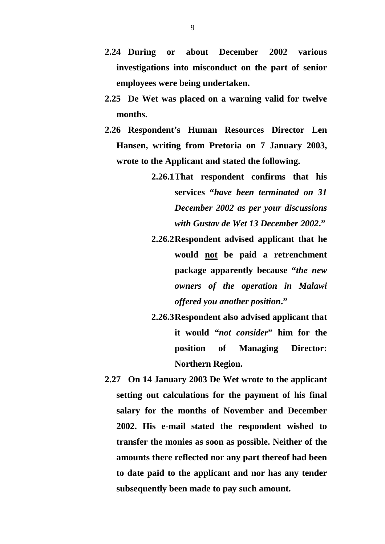- **2.24 During or about December 2002 various investigations into misconduct on the part of senior employees were being undertaken.**
- **2.25 De Wet was placed on a warning valid for twelve months.**
- **2.26 Respondent's Human Resources Director Len Hansen, writing from Pretoria on 7 January 2003, wrote to the Applicant and stated the following.** 
	- **2.26.1That respondent confirms that his services "***have been terminated on 31 December 2002 as per your discussions with Gustav de Wet 13 December 2002***."**
	- **2.26.2Respondent advised applicant that he would not be paid a retrenchment package apparently because "***the new owners of the operation in Malawi offered you another position***."**
	- **2.26.3Respondent also advised applicant that it would** *"not consider***" him for the position of Managing Director: Northern Region.**
- **2.27 On 14 January 2003 De Wet wrote to the applicant setting out calculations for the payment of his final salary for the months of November and December 2002. His e-mail stated the respondent wished to transfer the monies as soon as possible. Neither of the amounts there reflected nor any part thereof had been to date paid to the applicant and nor has any tender subsequently been made to pay such amount.**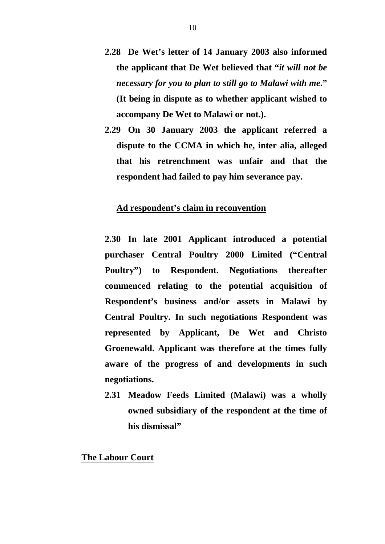- **2.28 De Wet's letter of 14 January 2003 also informed the applicant that De Wet believed that "***it will not be necessary for you to plan to still go to Malawi with me***." (It being in dispute as to whether applicant wished to accompany De Wet to Malawi or not.).**
- **2.29 On 30 January 2003 the applicant referred a dispute to the CCMA in which he, inter alia, alleged that his retrenchment was unfair and that the respondent had failed to pay him severance pay.**

## **Ad respondent's claim in reconvention**

- **2.30 In late 2001 Applicant introduced a potential purchaser Central Poultry 2000 Limited ("Central Poultry") to Respondent. Negotiations thereafter commenced relating to the potential acquisition of Respondent's business and/or assets in Malawi by Central Poultry. In such negotiations Respondent was represented by Applicant, De Wet and Christo Groenewald. Applicant was therefore at the times fully aware of the progress of and developments in such negotiations.**
- **2.31 Meadow Feeds Limited (Malawi) was a wholly owned subsidiary of the respondent at the time of his dismissal"**

#### **The Labour Court**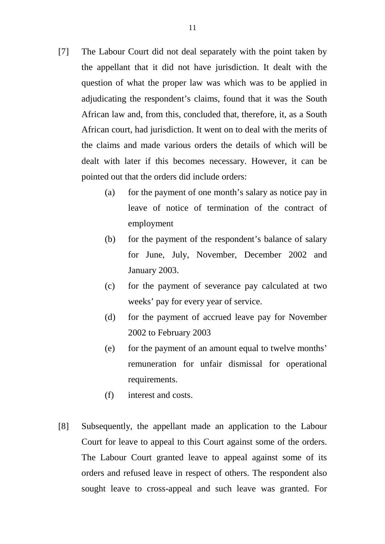- [7] The Labour Court did not deal separately with the point taken by the appellant that it did not have jurisdiction. It dealt with the question of what the proper law was which was to be applied in adjudicating the respondent's claims, found that it was the South African law and, from this, concluded that, therefore, it, as a South African court, had jurisdiction. It went on to deal with the merits of the claims and made various orders the details of which will be dealt with later if this becomes necessary. However, it can be pointed out that the orders did include orders:
	- (a) for the payment of one month's salary as notice pay in leave of notice of termination of the contract of employment
	- (b) for the payment of the respondent's balance of salary for June, July, November, December 2002 and January 2003.
	- (c) for the payment of severance pay calculated at two weeks' pay for every year of service.
	- (d) for the payment of accrued leave pay for November 2002 to February 2003
	- (e) for the payment of an amount equal to twelve months' remuneration for unfair dismissal for operational requirements.
	- (f) interest and costs.
- [8] Subsequently, the appellant made an application to the Labour Court for leave to appeal to this Court against some of the orders. The Labour Court granted leave to appeal against some of its orders and refused leave in respect of others. The respondent also sought leave to cross-appeal and such leave was granted. For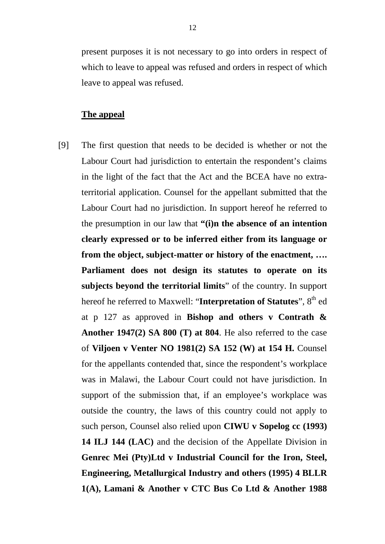present purposes it is not necessary to go into orders in respect of which to leave to appeal was refused and orders in respect of which leave to appeal was refused.

# **The appeal**

[9] The first question that needs to be decided is whether or not the Labour Court had jurisdiction to entertain the respondent's claims in the light of the fact that the Act and the BCEA have no extraterritorial application. Counsel for the appellant submitted that the Labour Court had no jurisdiction. In support hereof he referred to the presumption in our law that **"(i)n the absence of an intention clearly expressed or to be inferred either from its language or from the object, subject-matter or history of the enactment, …. Parliament does not design its statutes to operate on its subjects beyond the territorial limits**" of the country. In support hereof he referred to Maxwell: "Interpretation of Statutes", 8<sup>th</sup> ed at p 127 as approved in **Bishop and others v Contrath & Another 1947(2) SA 800 (T) at 804**. He also referred to the case of **Viljoen v Venter NO 1981(2) SA 152 (W) at 154 H.** Counsel for the appellants contended that, since the respondent's workplace was in Malawi, the Labour Court could not have jurisdiction. In support of the submission that, if an employee's workplace was outside the country, the laws of this country could not apply to such person, Counsel also relied upon **CIWU v Sopelog cc (1993) 14 ILJ 144 (LAC)** and the decision of the Appellate Division in **Genrec Mei (Pty)Ltd v Industrial Council for the Iron, Steel, Engineering, Metallurgical Industry and others (1995) 4 BLLR 1(A), Lamani & Another v CTC Bus Co Ltd & Another 1988**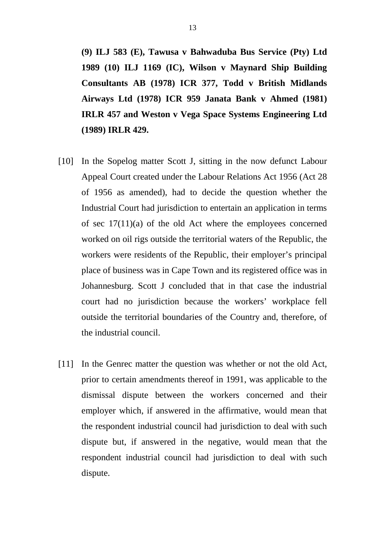**(9) ILJ 583 (E), Tawusa v Bahwaduba Bus Service (Pty) Ltd 1989 (10) ILJ 1169 (IC), Wilson v Maynard Ship Building Consultants AB (1978) ICR 377, Todd v British Midlands Airways Ltd (1978) ICR 959 Janata Bank v Ahmed (1981) IRLR 457 and Weston v Vega Space Systems Engineering Ltd (1989) IRLR 429.** 

- [10] In the Sopelog matter Scott J, sitting in the now defunct Labour Appeal Court created under the Labour Relations Act 1956 (Act 28 of 1956 as amended), had to decide the question whether the Industrial Court had jurisdiction to entertain an application in terms of sec 17(11)(a) of the old Act where the employees concerned worked on oil rigs outside the territorial waters of the Republic, the workers were residents of the Republic, their employer's principal place of business was in Cape Town and its registered office was in Johannesburg. Scott J concluded that in that case the industrial court had no jurisdiction because the workers' workplace fell outside the territorial boundaries of the Country and, therefore, of the industrial council.
- [11] In the Genrec matter the question was whether or not the old Act, prior to certain amendments thereof in 1991, was applicable to the dismissal dispute between the workers concerned and their employer which, if answered in the affirmative, would mean that the respondent industrial council had jurisdiction to deal with such dispute but, if answered in the negative, would mean that the respondent industrial council had jurisdiction to deal with such dispute.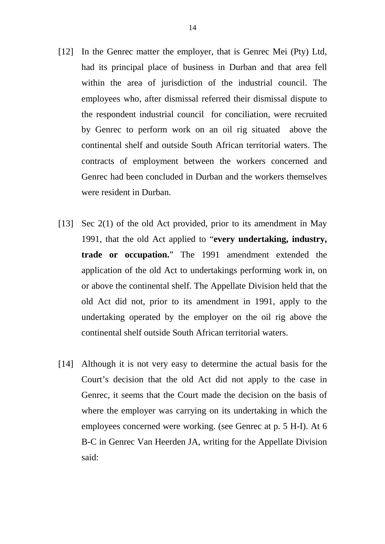- [12] In the Genrec matter the employer, that is Genrec Mei (Pty) Ltd, had its principal place of business in Durban and that area fell within the area of jurisdiction of the industrial council. The employees who, after dismissal referred their dismissal dispute to the respondent industrial council for conciliation, were recruited by Genrec to perform work on an oil rig situated above the continental shelf and outside South African territorial waters. The contracts of employment between the workers concerned and Genrec had been concluded in Durban and the workers themselves were resident in Durban.
- [13] Sec 2(1) of the old Act provided, prior to its amendment in May 1991, that the old Act applied to "**every undertaking, industry, trade or occupation.**" The 1991 amendment extended the application of the old Act to undertakings performing work in, on or above the continental shelf. The Appellate Division held that the old Act did not, prior to its amendment in 1991, apply to the undertaking operated by the employer on the oil rig above the continental shelf outside South African territorial waters.
- [14] Although it is not very easy to determine the actual basis for the Court's decision that the old Act did not apply to the case in Genrec, it seems that the Court made the decision on the basis of where the employer was carrying on its undertaking in which the employees concerned were working. (see Genrec at p. 5 H-I). At 6 B-C in Genrec Van Heerden JA, writing for the Appellate Division said: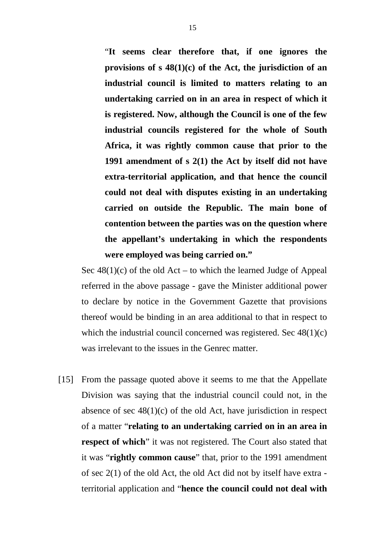"**It seems clear therefore that, if one ignores the provisions of s 48(1)(c) of the Act, the jurisdiction of an industrial council is limited to matters relating to an undertaking carried on in an area in respect of which it is registered. Now, although the Council is one of the few industrial councils registered for the whole of South Africa, it was rightly common cause that prior to the 1991 amendment of s 2(1) the Act by itself did not have extra-territorial application, and that hence the council could not deal with disputes existing in an undertaking carried on outside the Republic. The main bone of contention between the parties was on the question where the appellant's undertaking in which the respondents were employed was being carried on."** 

Sec  $48(1)(c)$  of the old Act – to which the learned Judge of Appeal referred in the above passage - gave the Minister additional power to declare by notice in the Government Gazette that provisions thereof would be binding in an area additional to that in respect to which the industrial council concerned was registered. Sec 48(1)(c) was irrelevant to the issues in the Genrec matter.

[15] From the passage quoted above it seems to me that the Appellate Division was saying that the industrial council could not, in the absence of sec  $48(1)(c)$  of the old Act, have jurisdiction in respect of a matter "**relating to an undertaking carried on in an area in respect of which**" it was not registered. The Court also stated that it was "**rightly common cause**" that, prior to the 1991 amendment of sec 2(1) of the old Act, the old Act did not by itself have extra territorial application and "**hence the council could not deal with**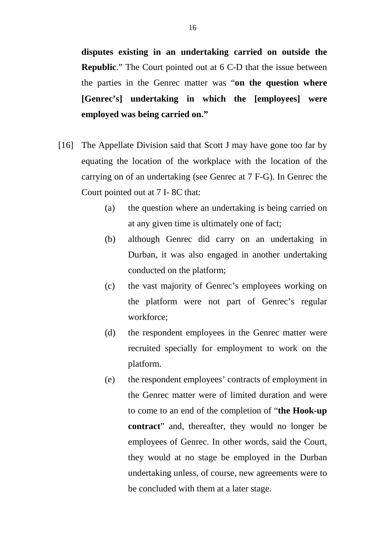**disputes existing in an undertaking carried on outside the Republic.**" The Court pointed out at 6 C-D that the issue between the parties in the Genrec matter was "**on the question where [Genrec's] undertaking in which the [employees] were employed was being carried on."**

- [16] The Appellate Division said that Scott J may have gone too far by equating the location of the workplace with the location of the carrying on of an undertaking (see Genrec at 7 F-G). In Genrec the Court pointed out at 7 I- 8C that:
	- (a) the question where an undertaking is being carried on at any given time is ultimately one of fact;
	- (b) although Genrec did carry on an undertaking in Durban, it was also engaged in another undertaking conducted on the platform;
	- (c) the vast majority of Genrec's employees working on the platform were not part of Genrec's regular workforce;
	- (d) the respondent employees in the Genrec matter were recruited specially for employment to work on the platform.
	- (e) the respondent employees' contracts of employment in the Genrec matter were of limited duration and were to come to an end of the completion of "**the Hook-up contract**" and, thereafter, they would no longer be employees of Genrec. In other words, said the Court, they would at no stage be employed in the Durban undertaking unless, of course, new agreements were to be concluded with them at a later stage.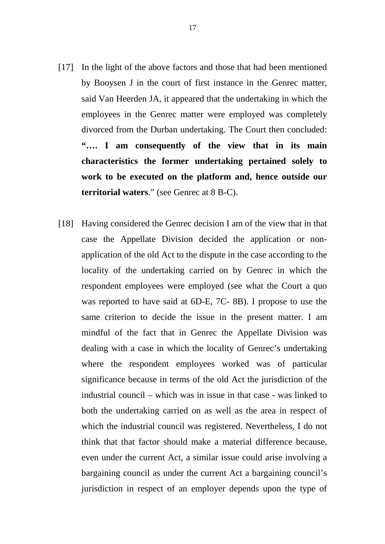- [17] In the light of the above factors and those that had been mentioned by Booysen J in the court of first instance in the Genrec matter, said Van Heerden JA, it appeared that the undertaking in which the employees in the Genrec matter were employed was completely divorced from the Durban undertaking. The Court then concluded: **"…. I am consequently of the view that in its main characteristics the former undertaking pertained solely to work to be executed on the platform and, hence outside our territorial waters**." (see Genrec at 8 B-C).
- [18] Having considered the Genrec decision I am of the view that in that case the Appellate Division decided the application or nonapplication of the old Act to the dispute in the case according to the locality of the undertaking carried on by Genrec in which the respondent employees were employed (see what the Court a quo was reported to have said at 6D-E, 7C- 8B). I propose to use the same criterion to decide the issue in the present matter. I am mindful of the fact that in Genrec the Appellate Division was dealing with a case in which the locality of Genrec's undertaking where the respondent employees worked was of particular significance because in terms of the old Act the jurisdiction of the industrial council – which was in issue in that case - was linked to both the undertaking carried on as well as the area in respect of which the industrial council was registered. Nevertheless, I do not think that that factor should make a material difference because, even under the current Act, a similar issue could arise involving a bargaining council as under the current Act a bargaining council's jurisdiction in respect of an employer depends upon the type of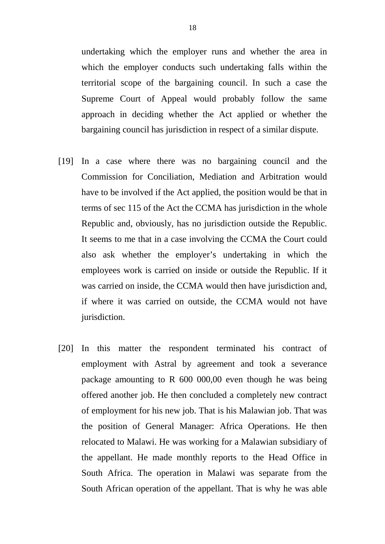undertaking which the employer runs and whether the area in which the employer conducts such undertaking falls within the territorial scope of the bargaining council. In such a case the Supreme Court of Appeal would probably follow the same approach in deciding whether the Act applied or whether the bargaining council has jurisdiction in respect of a similar dispute.

- [19] In a case where there was no bargaining council and the Commission for Conciliation, Mediation and Arbitration would have to be involved if the Act applied, the position would be that in terms of sec 115 of the Act the CCMA has jurisdiction in the whole Republic and, obviously, has no jurisdiction outside the Republic. It seems to me that in a case involving the CCMA the Court could also ask whether the employer's undertaking in which the employees work is carried on inside or outside the Republic. If it was carried on inside, the CCMA would then have jurisdiction and, if where it was carried on outside, the CCMA would not have jurisdiction.
- [20] In this matter the respondent terminated his contract of employment with Astral by agreement and took a severance package amounting to R 600 000,00 even though he was being offered another job. He then concluded a completely new contract of employment for his new job. That is his Malawian job. That was the position of General Manager: Africa Operations. He then relocated to Malawi. He was working for a Malawian subsidiary of the appellant. He made monthly reports to the Head Office in South Africa. The operation in Malawi was separate from the South African operation of the appellant. That is why he was able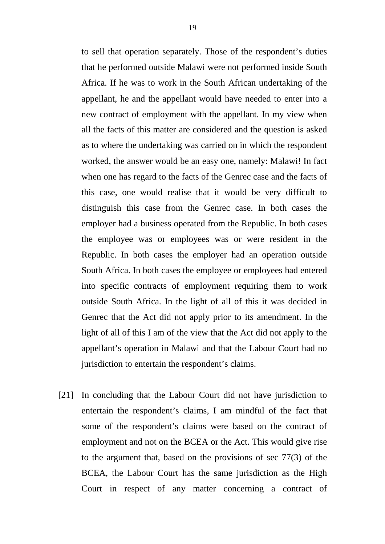to sell that operation separately. Those of the respondent's duties that he performed outside Malawi were not performed inside South Africa. If he was to work in the South African undertaking of the appellant, he and the appellant would have needed to enter into a new contract of employment with the appellant. In my view when all the facts of this matter are considered and the question is asked as to where the undertaking was carried on in which the respondent worked, the answer would be an easy one, namely: Malawi! In fact when one has regard to the facts of the Genrec case and the facts of this case, one would realise that it would be very difficult to distinguish this case from the Genrec case. In both cases the employer had a business operated from the Republic. In both cases the employee was or employees was or were resident in the Republic. In both cases the employer had an operation outside South Africa. In both cases the employee or employees had entered into specific contracts of employment requiring them to work outside South Africa. In the light of all of this it was decided in Genrec that the Act did not apply prior to its amendment. In the light of all of this I am of the view that the Act did not apply to the appellant's operation in Malawi and that the Labour Court had no jurisdiction to entertain the respondent's claims.

[21] In concluding that the Labour Court did not have jurisdiction to entertain the respondent's claims, I am mindful of the fact that some of the respondent's claims were based on the contract of employment and not on the BCEA or the Act. This would give rise to the argument that, based on the provisions of sec 77(3) of the BCEA, the Labour Court has the same jurisdiction as the High Court in respect of any matter concerning a contract of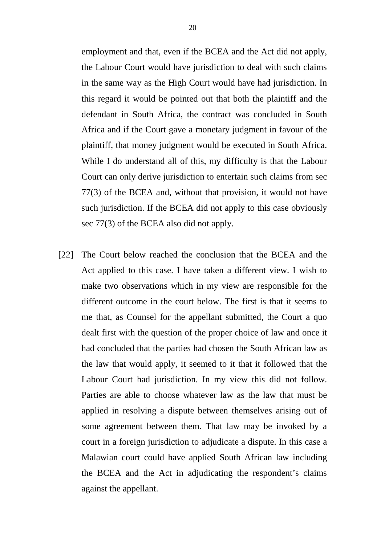employment and that, even if the BCEA and the Act did not apply, the Labour Court would have jurisdiction to deal with such claims in the same way as the High Court would have had jurisdiction. In this regard it would be pointed out that both the plaintiff and the defendant in South Africa, the contract was concluded in South Africa and if the Court gave a monetary judgment in favour of the plaintiff, that money judgment would be executed in South Africa. While I do understand all of this, my difficulty is that the Labour Court can only derive jurisdiction to entertain such claims from sec 77(3) of the BCEA and, without that provision, it would not have such jurisdiction. If the BCEA did not apply to this case obviously sec 77(3) of the BCEA also did not apply.

[22] The Court below reached the conclusion that the BCEA and the Act applied to this case. I have taken a different view. I wish to make two observations which in my view are responsible for the different outcome in the court below. The first is that it seems to me that, as Counsel for the appellant submitted, the Court a quo dealt first with the question of the proper choice of law and once it had concluded that the parties had chosen the South African law as the law that would apply, it seemed to it that it followed that the Labour Court had jurisdiction. In my view this did not follow. Parties are able to choose whatever law as the law that must be applied in resolving a dispute between themselves arising out of some agreement between them. That law may be invoked by a court in a foreign jurisdiction to adjudicate a dispute. In this case a Malawian court could have applied South African law including the BCEA and the Act in adjudicating the respondent's claims against the appellant.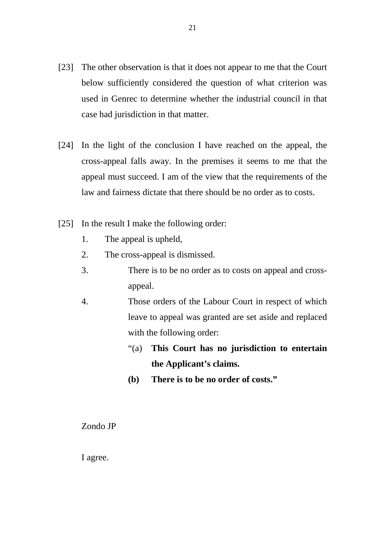- [23] The other observation is that it does not appear to me that the Court below sufficiently considered the question of what criterion was used in Genrec to determine whether the industrial council in that case had jurisdiction in that matter.
- [24] In the light of the conclusion I have reached on the appeal, the cross-appeal falls away. In the premises it seems to me that the appeal must succeed. I am of the view that the requirements of the law and fairness dictate that there should be no order as to costs.
- [25] In the result I make the following order:
	- 1. The appeal is upheld,
	- 2. The cross-appeal is dismissed.
	- 3. There is to be no order as to costs on appeal and crossappeal.
	- 4. Those orders of the Labour Court in respect of which leave to appeal was granted are set aside and replaced with the following order:
		- "(a) **This Court has no jurisdiction to entertain the Applicant's claims.**
		- **(b) There is to be no order of costs."**

## Zondo JP

I agree.